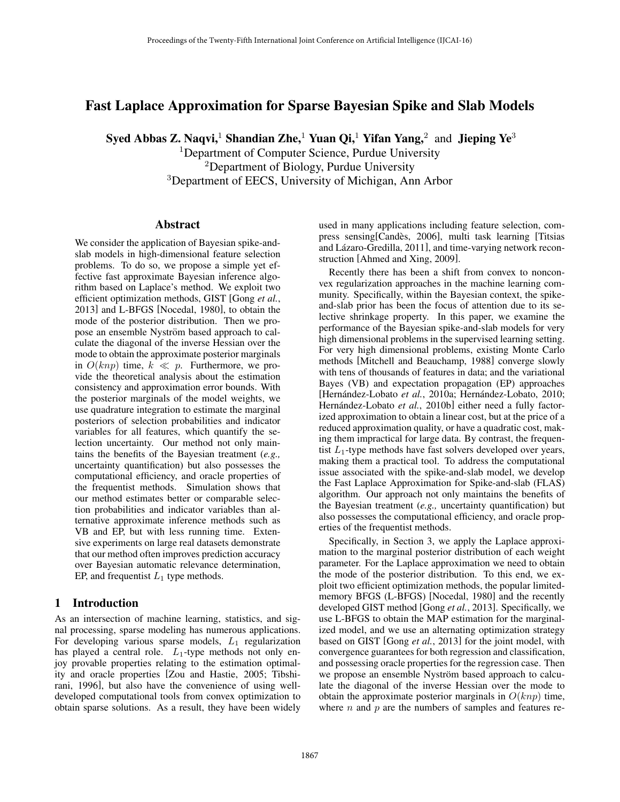# Fast Laplace Approximation for Sparse Bayesian Spike and Slab Models

Syed Abbas Z. Naqvi,<sup>1</sup> Shandian Zhe,<sup>1</sup> Yuan Qi,<sup>1</sup> Yifan Yang,<sup>2</sup> and Jieping Ye<sup>3</sup>

<sup>1</sup>Department of Computer Science, Purdue University <sup>2</sup>Department of Biology, Purdue University <sup>3</sup>Department of EECS, University of Michigan, Ann Arbor

### Abstract

We consider the application of Bayesian spike-andslab models in high-dimensional feature selection problems. To do so, we propose a simple yet effective fast approximate Bayesian inference algorithm based on Laplace's method. We exploit two efficient optimization methods, GIST [Gong *et al.*, 2013] and L-BFGS [Nocedal, 1980], to obtain the mode of the posterior distribution. Then we propose an ensemble Nyström based approach to calculate the diagonal of the inverse Hessian over the mode to obtain the approximate posterior marginals in  $O(knp)$  time,  $k \ll p$ . Furthermore, we provide the theoretical analysis about the estimation consistency and approximation error bounds. With the posterior marginals of the model weights, we use quadrature integration to estimate the marginal posteriors of selection probabilities and indicator variables for all features, which quantify the selection uncertainty. Our method not only maintains the benefits of the Bayesian treatment (*e.g.,* uncertainty quantification) but also possesses the computational efficiency, and oracle properties of the frequentist methods. Simulation shows that our method estimates better or comparable selection probabilities and indicator variables than alternative approximate inference methods such as VB and EP, but with less running time. Extensive experiments on large real datasets demonstrate that our method often improves prediction accuracy over Bayesian automatic relevance determination, EP, and frequentist  $L_1$  type methods.

# 1 Introduction

As an intersection of machine learning, statistics, and signal processing, sparse modeling has numerous applications. For developing various sparse models, *L*<sup>1</sup> regularization has played a central role. *L*<sub>1</sub>-type methods not only enjoy provable properties relating to the estimation optimality and oracle properties [Zou and Hastie, 2005; Tibshirani, 1996], but also have the convenience of using welldeveloped computational tools from convex optimization to obtain sparse solutions. As a result, they have been widely used in many applications including feature selection, compress sensing [Candes, 2006], multi task learning [Titsias] and Lázaro-Gredilla, 2011], and time-varying network reconstruction [Ahmed and Xing, 2009].

Recently there has been a shift from convex to nonconvex regularization approaches in the machine learning community. Specifically, within the Bayesian context, the spikeand-slab prior has been the focus of attention due to its selective shrinkage property. In this paper, we examine the performance of the Bayesian spike-and-slab models for very high dimensional problems in the supervised learning setting. For very high dimensional problems, existing Monte Carlo methods [Mitchell and Beauchamp, 1988] converge slowly with tens of thousands of features in data; and the variational Bayes (VB) and expectation propagation (EP) approaches [Hernández-Lobato et al., 2010a; Hernández-Lobato, 2010; Hernández-Lobato et al., 2010b] either need a fully factorized approximation to obtain a linear cost, but at the price of a reduced approximation quality, or have a quadratic cost, making them impractical for large data. By contrast, the frequentist *L*1-type methods have fast solvers developed over years, making them a practical tool. To address the computational issue associated with the spike-and-slab model, we develop the Fast Laplace Approximation for Spike-and-slab (FLAS) algorithm. Our approach not only maintains the benefits of the Bayesian treatment (*e.g.,* uncertainty quantification) but also possesses the computational efficiency, and oracle properties of the frequentist methods.

Specifically, in Section 3, we apply the Laplace approximation to the marginal posterior distribution of each weight parameter. For the Laplace approximation we need to obtain the mode of the posterior distribution. To this end, we exploit two efficient optimization methods, the popular limitedmemory BFGS (L-BFGS) [Nocedal, 1980] and the recently developed GIST method [Gong *et al.*, 2013]. Specifically, we use L-BFGS to obtain the MAP estimation for the marginalized model, and we use an alternating optimization strategy based on GIST [Gong *et al.*, 2013] for the joint model, with convergence guarantees for both regression and classification, and possessing oracle properties for the regression case. Then we propose an ensemble Nyström based approach to calculate the diagonal of the inverse Hessian over the mode to obtain the approximate posterior marginals in  $O(knp)$  time, where *n* and *p* are the numbers of samples and features re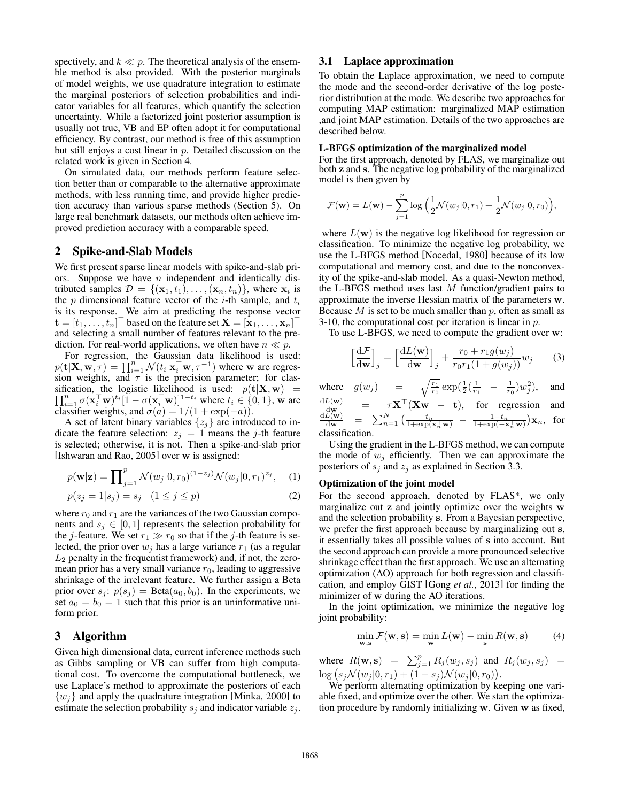spectively, and  $k \ll p$ . The theoretical analysis of the ensemble method is also provided. With the posterior marginals of model weights, we use quadrature integration to estimate the marginal posteriors of selection probabilities and indicator variables for all features, which quantify the selection uncertainty. While a factorized joint posterior assumption is usually not true, VB and EP often adopt it for computational efficiency. By contrast, our method is free of this assumption but still enjoys a cost linear in *p*. Detailed discussion on the related work is given in Section 4.

On simulated data, our methods perform feature selection better than or comparable to the alternative approximate methods, with less running time, and provide higher prediction accuracy than various sparse methods (Section 5). On large real benchmark datasets, our methods often achieve improved prediction accuracy with a comparable speed.

### 2 Spike-and-Slab Models

We first present sparse linear models with spike-and-slab priors. Suppose we have *n* independent and identically distributed samples  $\mathcal{D} = \{(\mathbf{x}_1, t_1), \ldots, (\mathbf{x}_n, t_n)\}\)$ , where  $\mathbf{x}_i$  is the *p* dimensional feature vector of the *i*-th sample, and *t<sup>i</sup>* is its response. We aim at predicting the response vector  $\mathbf{t} = [t_1, \ldots, t_n]^\top$  based on the feature set  $\mathbf{X} = [\mathbf{x}_1, \ldots, \mathbf{x}_n]^\top$ and selecting a small number of features relevant to the prediction. For real-world applications, we often have  $n \ll p$ .

For regression, the Gaussian data likelihood is used:  $p(\mathbf{t}|\mathbf{X}, \mathbf{w}, \tau) = \prod_{i=1}^{n} \mathcal{N}(t_i | \mathbf{x}_i^{\top} \mathbf{w}, \tau^{-1})$  where w are regression weights, and  $\tau$  is the precision parameter; for classification, the logistic likelihood is used:  $p(\mathbf{t}|\mathbf{X}, \mathbf{w}) = \prod_{i=1}^{n} \sigma(\mathbf{x} \mathbf{x}^{\top} \mathbf{w})^{i}$  *n*  $\sigma(\mathbf{x}^{\top} \mathbf{w})^{11-i}$  where  $t \in [0, 1]$  we are  $\prod_{i=1}^{n} \sigma(\mathbf{x}_{i}^{\top} \mathbf{w})^{t_{i}} [1 - \sigma(\mathbf{x}_{i}^{\top} \mathbf{w})]^{1-t_{i}}$  where  $t_{i} \in \{0, 1\}$ , w are classifier weights, and  $\sigma(a)=1/(1 + \exp(-a)).$ 

A set of latent binary variables  $\{z_j\}$  are introduced to indicate the feature selection:  $z_j = 1$  means the *j*-th feature is selected; otherwise, it is not. Then a spike-and-slab prior [Ishwaran and Rao, 2005] over w is assigned:

$$
p(\mathbf{w}|\mathbf{z}) = \prod_{j=1}^{p} \mathcal{N}(w_j|0, r_0)^{(1-z_j)} \mathcal{N}(w_j|0, r_1)^{z_j}, \quad (1)
$$

$$
p(z_j = 1|s_j) = s_j \quad (1 \le j \le p)
$$
 (2)

where  $r_0$  and  $r_1$  are the variances of the two Gaussian components and  $s_j \in [0, 1]$  represents the selection probability for the *j*-feature. We set  $r_1 \gg r_0$  so that if the *j*-th feature is selected, the prior over  $w_i$  has a large variance  $r_1$  (as a regular *L*<sup>2</sup> penalty in the frequentist framework) and, if not, the zeromean prior has a very small variance  $r<sub>0</sub>$ , leading to aggressive shrinkage of the irrelevant feature. We further assign a Beta prior over  $s_j$ :  $p(s_j) = \text{Beta}(a_0, b_0)$ . In the experiments, we set  $a_0 = b_0 = 1$  such that this prior is an uninformative uniform prior.

### 3 Algorithm

Given high dimensional data, current inference methods such as Gibbs sampling or VB can suffer from high computational cost. To overcome the computational bottleneck, we use Laplace's method to approximate the posteriors of each *{wj}* and apply the quadrature integration [Minka, 2000] to estimate the selection probability  $s_j$  and indicator variable  $z_j$ .

#### 3.1 Laplace approximation

To obtain the Laplace approximation, we need to compute the mode and the second-order derivative of the log posterior distribution at the mode. We describe two approaches for computing MAP estimation: marginalized MAP estimation ,and joint MAP estimation. Details of the two approaches are described below.

#### L-BFGS optimization of the marginalized model

For the first approach, denoted by FLAS, we marginalize out both z and s. The negative log probability of the marginalized model is then given by

$$
\mathcal{F}(\mathbf{w}) = L(\mathbf{w}) - \sum_{j=1}^p \log \left( \frac{1}{2} \mathcal{N}(w_j|0, r_1) + \frac{1}{2} \mathcal{N}(w_j|0, r_0) \right),
$$

where  $L(\mathbf{w})$  is the negative log likelihood for regression or classification. To minimize the negative log probability, we use the L-BFGS method [Nocedal, 1980] because of its low computational and memory cost, and due to the nonconvexity of the spike-and-slab model. As a quasi-Newton method, the L-BFGS method uses last *M* function/gradient pairs to approximate the inverse Hessian matrix of the parameters w. Because *M* is set to be much smaller than *p*, often as small as 3-10, the computational cost per iteration is linear in *p*.

To use L-BFGS, we need to compute the gradient over w:

$$
\left[\frac{\mathrm{d}\mathcal{F}}{\mathrm{d}\mathbf{w}}\right]_j = \left[\frac{\mathrm{d}L(\mathbf{w})}{\mathrm{d}\mathbf{w}}\right]_j + \frac{r_0 + r_1 g(w_j)}{r_0 r_1 (1 + g(w_j))} w_j \tag{3}
$$

where  $g(w_j)$  =  $\sqrt{\frac{r_1}{r_0}} \exp(\frac{1}{2}(\frac{1}{r_1} - \frac{1}{r_0})w_j^2)$ , and d*L*(w)

$$
\frac{\frac{dL(\mathbf{w})}{dw}}{\frac{dL(\mathbf{w})}{dw}} = \sum_{n=1}^{N} \left( \frac{t_n}{1 + \exp(\mathbf{x}_n^{\top} \mathbf{w})} - \frac{1 - t_n}{1 + \exp(-\mathbf{x}_n^{\top} \mathbf{w})} \right) \mathbf{x}_n, \text{ for classification.}
$$

Using the gradient in the L-BFGS method, we can compute the mode of  $w_j$  efficiently. Then we can approximate the posteriors of *s<sup>j</sup>* and *z<sup>j</sup>* as explained in Section 3.3.

### Optimization of the joint model

For the second approach, denoted by FLAS\*, we only marginalize out z and jointly optimize over the weights w and the selection probability s. From a Bayesian perspective, we prefer the first approach because by marginalizing out s, it essentially takes all possible values of s into account. But the second approach can provide a more pronounced selective shrinkage effect than the first approach. We use an alternating optimization (AO) approach for both regression and classification, and employ GIST [Gong *et al.*, 2013] for finding the minimizer of w during the AO iterations.

In the joint optimization, we minimize the negative log joint probability:

$$
\min_{\mathbf{w}, \mathbf{s}} \mathcal{F}(\mathbf{w}, \mathbf{s}) = \min_{\mathbf{w}} L(\mathbf{w}) - \min_{\mathbf{s}} R(\mathbf{w}, \mathbf{s})
$$
(4)

where  $R(\mathbf{w}, \mathbf{s}) = \sum_{j=1}^{p} R_j(w_j, s_j)$  and  $R_j(w_j, s_j) =$  $\log (s_j \mathcal{N}(w_j | 0, r_1) + (1 - s_j) \mathcal{N}(w_j | 0, r_0)).$ 

We perform alternating optimization by keeping one variable fixed, and optimize over the other. We start the optimization procedure by randomly initializing w. Given w as fixed,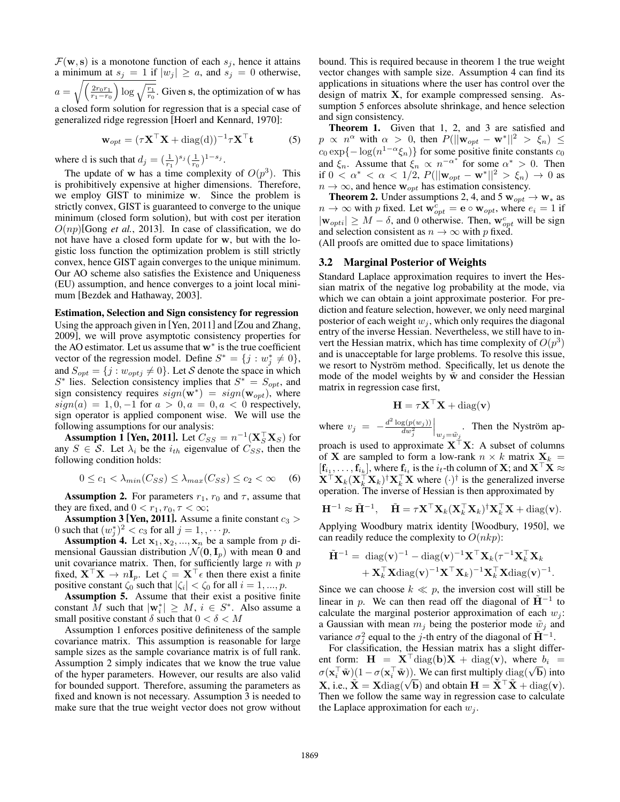$\mathcal{F}(\mathbf{w}, \mathbf{s})$  is a monotone function of each  $s_j$ , hence it attains a minimum at  $s_j = 1$  if  $|w_j| \ge a$ , and  $s_j = 0$  otherwise,  $a = \sqrt{\frac{2r_0r_1}{r_1 - r_0}}$  $r_1 - r_0$  $\log \sqrt{\frac{r_1}{r_0}}$ . Given s, the optimization of w has a closed form solution for regression that is a special case of generalized ridge regression [Hoerl and Kennard, 1970]:

$$
\mathbf{w}_{opt} = (\tau \mathbf{X}^\top \mathbf{X} + \text{diag}(\mathbf{d}))^{-1} \tau \mathbf{X}^\top \mathbf{t}
$$
 (5)

where d is such that  $d_j = (\frac{1}{r_1})^{s_j} (\frac{1}{r_0})^{1-s_j}$ .

The update of **w** has a time complexity of  $O(p^3)$ . This is prohibitively expensive at higher dimensions. Therefore, we employ GIST to minimize w. Since the problem is strictly convex, GIST is guaranteed to converge to the unique minimum (closed form solution), but with cost per iteration  $O(np)$ [Gong *et al.*, 2013]. In case of classification, we do not have have a closed form update for w, but with the logistic loss function the optimization problem is still strictly convex, hence GIST again converges to the unique minimum. Our AO scheme also satisfies the Existence and Uniqueness (EU) assumption, and hence converges to a joint local minimum [Bezdek and Hathaway, 2003].

#### Estimation, Selection and Sign consistency for regression

Using the approach given in [Yen, 2011] and [Zou and Zhang, 2009], we will prove asymptotic consistency properties for the AO estimator. Let us assume that  $w^*$  is the true coefficient vector of the regression model. Define  $S^* = \{j : w_j^* \neq 0\}$ , and  $S_{opt} = \{j : w_{optj} \neq 0\}$ . Let *S* denote the space in which  $S^*$  lies. Selection consistency implies that  $S^* = S_{opt}$ , and sign consistency requires  $sign(\mathbf{w}^*) = sign(\mathbf{w}_{opt})$ , where  $sign(a) = 1, 0, -1$  for  $a > 0, a = 0, a < 0$  respectively, sign operator is applied component wise. We will use the following assumptions for our analysis:

**Assumption 1 [Yen, 2011].** Let  $C_{SS} = n^{-1}(\mathbf{X}_S^{\top} \mathbf{X}_S)$  for any  $S \in \mathcal{S}$ . Let  $\lambda_i$  be the  $i_{th}$  eigenvalue of  $C_{SS}$ , then the following condition holds:

$$
0 \le c_1 < \lambda_{min}(C_{SS}) \le \lambda_{max}(C_{SS}) \le c_2 < \infty \quad (6)
$$

**Assumption 2.** For parameters  $r_1$ ,  $r_0$  and  $\tau$ , assume that they are fixed, and  $0 < r_1, r_0, \tau < \infty$ ;

**Assumption 3 [Yen, 2011].** Assume a finite constant  $c_3$  > 0 such that  $(w_j^*)^2 < c_3$  for all  $j = 1, \dots p$ .

Assumption 4. Let  $x_1, x_2, ..., x_n$  be a sample from p dimensional Gaussian distribution  $\mathcal{N}(\mathbf{0}, \mathbf{I}_p)$  with mean 0 and unit covariance matrix. Then, for sufficiently large *n* with *p* fixed,  $X^{\dagger}X \rightarrow nI_n$ . Let  $\zeta = X^{\dagger} \epsilon$  then there exist a finite positive constant  $\zeta_0$  such that  $|\zeta_i| < \zeta_0$  for all  $i = 1, ..., p$ .

Assumption 5. Assume that their exist a positive finite constant *M* such that  $|\mathbf{w}_i^*| \geq M$ ,  $i \in S^*$ . Also assume a small positive constant  $\delta$  such that  $0 < \delta < M$ 

Assumption 1 enforces positive definiteness of the sample covariance matrix. This assumption is reasonable for large sample sizes as the sample covariance matrix is of full rank. Assumption 2 simply indicates that we know the true value of the hyper parameters. However, our results are also valid for bounded support. Therefore, assuming the parameters as fixed and known is not necessary. Assumption 3 is needed to make sure that the true weight vector does not grow without bound. This is required because in theorem 1 the true weight vector changes with sample size. Assumption 4 can find its applications in situations where the user has control over the design of matrix X, for example compressed sensing. Assumption 5 enforces absolute shrinkage, and hence selection and sign consistency.

Theorem 1. Given that 1, 2, and 3 are satisfied and  $p \propto n^{\alpha}$  with  $\alpha > 0$ , then  $P(||\mathbf{w}_{opt} - \mathbf{w}^*||^2 > \xi_n) \le$  $c_0 \exp\{-\log(n^{1-\alpha}\xi_n)\}\$ for some positive finite constants  $c_0$ and  $\xi_n$ . Assume that  $\xi_n \propto n^{-\alpha^*}$  for some  $\alpha^* > 0$ . Then if  $0 < \alpha^* < \alpha < 1/2$ ,  $P(||\mathbf{w}_{opt} - \mathbf{w}^*||^2 > \xi_n) \to 0$  as  $n \to \infty$ , and hence  $w_{opt}$  has estimation consistency.

**Theorem 2.** Under assumptions 2, 4, and 5  $w_{opt} \rightarrow w_*$  as  $n \to \infty$  with *p* fixed. Let  $\mathbf{w}_{opt}^c = \mathbf{e} \circ \mathbf{w}_{opt}$ , where  $e_i = 1$  if  $|\mathbf{w}_{opti}| \geq M - \delta$ , and 0 otherwise. Then,  $\mathbf{w}_{opt}^c$  will be sign and selection consistent as  $n \to \infty$  with *p* fixed. (All proofs are omitted due to space limitations)

#### 3.2 Marginal Posterior of Weights

Standard Laplace approximation requires to invert the Hessian matrix of the negative log probability at the mode, via which we can obtain a joint approximate posterior. For prediction and feature selection, however, we only need marginal posterior of each weight  $w_j$ , which only requires the diagonal entry of the inverse Hessian. Nevertheless, we still have to invert the Hessian matrix, which has time complexity of  $O(p^3)$ and is unacceptable for large problems. To resolve this issue, we resort to Nyström method. Specifically, let us denote the mode of the model weights by  $\tilde{w}$  and consider the Hessian matrix in regression case first,

$$
\mathbf{H} = \tau \mathbf{X}^\top \mathbf{X} + \text{diag}(\mathbf{v})
$$

where  $v_j = -\frac{d^2 \log(p(w_j))}{dw_j^2}$  $\left| \int_{w_j = \tilde{w}_j}$ . Then the Nyström ap-

proach is used to approximate  $X^{\dagger}X$ : A subset of columns of **X** are sampled to form a low-rank  $n \times k$  matrix  $X_k =$  $[f_{i_1},...,f_{i_k}],$  where  $f_{i_t}$  is the  $i_t$ -th column of **X**; and **X**  $\times$  $X^{\dagger}X_k(X^{\dagger}_k X_k)^{\dagger}X^{\dagger}_k X$  where  $(\cdot)^{\dagger}$  is the generalized inverse operation. The inverse of Hessian is then approximated by

$$
\mathbf{H}^{-1} \approx \tilde{\mathbf{H}}^{-1}, \quad \tilde{\mathbf{H}} = \tau \mathbf{X}^{\top} \mathbf{X}_k (\mathbf{X}_k^{\top} \mathbf{X}_k)^{\dagger} \mathbf{X}_k^{\top} \mathbf{X} + \text{diag}(\mathbf{v}).
$$

Applying Woodbury matrix identity [Woodbury, 1950], we can readily reduce the complexity to  $O(nkp)$ :

$$
\tilde{\mathbf{H}}^{-1} = \text{ diag}(\mathbf{v})^{-1} - \text{diag}(\mathbf{v})^{-1} \mathbf{X}^{\top} \mathbf{X}_k (\tau^{-1} \mathbf{X}_k^{\top} \mathbf{X}_k + \mathbf{X}_k^{\top} \mathbf{X} \text{diag}(\mathbf{v})^{-1} \mathbf{X}^{\top} \mathbf{X}_k)^{-1} \mathbf{X}_k^{\top} \mathbf{X} \text{diag}(\mathbf{v})^{-1}.
$$

Since we can choose  $k \ll p$ , the inversion cost will still be linear in *p*. We can then read off the diagonal of  $H^{-1}$  to calculate the marginal posterior approximation of each  $w_j$ : a Gaussian with mean  $m_j$  being the posterior mode  $\tilde{w}_j$  and variance  $\sigma_j^2$  equal to the *j*-th entry of the diagonal of  $\tilde{H}^{-1}$ .

For classification, the Hessian matrix has a slight different form:  $H = X^{\dagger} \text{diag}(b)X + \text{diag}(v)$ , where  $b_i =$  $\sigma(\mathbf{x}_i^{\top} \tilde{\mathbf{w}})(1 - \sigma(\mathbf{x}_i^{\top} \tilde{\mathbf{w}}))$ . We can first multiply  $diag(\sqrt{b})$  into  $\mathbf{X}$ , i.e.,  $\mathbf{\hat{X}} = \mathbf{X} \text{diag}(\sqrt{\mathbf{b}})$  and obtain  $\mathbf{H} = \mathbf{\hat{X}}^{\top} \mathbf{\hat{X}} + \text{diag}(\mathbf{v})$ . Then we follow the same way in regression case to calculate the Laplace approximation for each  $w_i$ .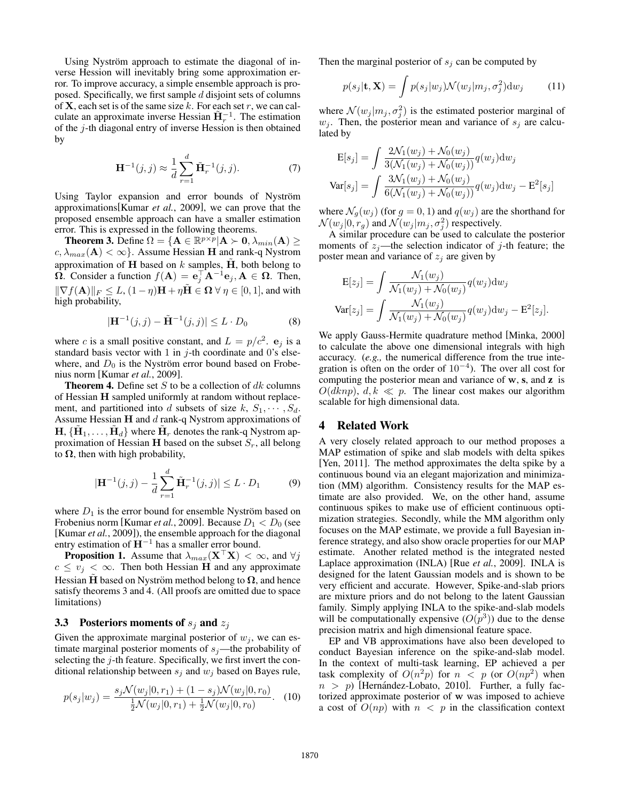Using Nyström approach to estimate the diagonal of inverse Hession will inevitably bring some approximation error. To improve accuracy, a simple ensemble approach is proposed. Specifically, we first sample *d* disjoint sets of columns of X, each set is of the same size *k*. For each set *r*, we can calculate an approximate inverse Hessian  $\tilde{H}^{-1}_r$ . The estimation of the *j*-th diagonal entry of inverse Hession is then obtained by

$$
\mathbf{H}^{-1}(j,j) \approx \frac{1}{d} \sum_{r=1}^{d} \tilde{\mathbf{H}}_{r}^{-1}(j,j).
$$
 (7)

Using Taylor expansion and error bounds of Nyström approximations[Kumar *et al.*, 2009], we can prove that the proposed ensemble approach can have a smaller estimation error. This is expressed in the following theorems.

**Theorem 3.** Define  $\Omega = {\mathbf{A} \in \mathbb{R}^{p \times p} | \mathbf{A} \succ \mathbf{0}, \lambda_{min}(\mathbf{A}) \geq 0}$  $c, \lambda_{max}(\mathbf{A}) < \infty$ . Assume Hessian **H** and rank-q Nystrom approximation of  $H$  based on  $k$  samples,  $H$ , both belong to  $\overline{\Omega}$ . Consider a function  $f(A) = e_j^{\top} A^{-1} e_j, A \in \Omega$ . Then,  $\|\nabla f(\mathbf{A})\|_F \leq L$ ,  $(1 - \eta)\mathbf{H} + \eta \mathbf{H} \in \Omega \ \forall \eta \in [0, 1]$ , and with high probability,

$$
|\mathbf{H}^{-1}(j,j) - \tilde{\mathbf{H}}^{-1}(j,j)| \le L \cdot D_0 \tag{8}
$$

where *c* is a small positive constant, and  $L = p/c^2$ .  $e_j$  is a standard basis vector with 1 in *j*-th coordinate and 0's elsewhere, and  $D_0$  is the Nyström error bound based on Frobenius norm [Kumar *et al.*, 2009].

Theorem 4. Define set *S* to be a collection of *dk* columns of Hessian H sampled uniformly at random without replacement, and partitioned into *d* subsets of size  $k$ ,  $S_1$ ,  $\cdots$ ,  $S_d$ . Assume Hessian H and *d* rank-q Nystrom approximations of  $H, \{H_1, \ldots, H_d\}$  where  $H_r$  denotes the rank-q Nystrom approximation of Hessian H based on the subset *Sr*, all belong to  $\Omega$ , then with high probability,

$$
|\mathbf{H}^{-1}(j,j) - \frac{1}{d} \sum_{r=1}^{d} \tilde{\mathbf{H}}_{r}^{-1}(j,j)| \leq L \cdot D_1
$$
 (9)

where  $D_1$  is the error bound for ensemble Nyström based on Frobenius norm [Kumar *et al.*, 2009]. Because  $D_1 < D_0$  (see [Kumar *et al.*, 2009]), the ensemble approach for the diagonal entry estimation of  $H^{-1}$  has a smaller error bound.

**Proposition 1.** Assume that  $\lambda_{max}(\mathbf{X}^{\top}\mathbf{X}) < \infty$ , and  $\forall j$  $c \le v_j < \infty$ . Then both Hessian **H** and any approximate Hessian H based on Nyström method belong to  $\Omega$ , and hence satisfy theorems 3 and 4. (All proofs are omitted due to space limitations)

#### 3.3 Posteriors moments of *s<sup>j</sup>* and *z<sup>j</sup>*

Given the approximate marginal posterior of  $w_j$ , we can estimate marginal posterior moments of  $s_j$ —the probability of selecting the *j*-th feature. Specifically, we first invert the conditional relationship between *s<sup>j</sup>* and *w<sup>j</sup>* based on Bayes rule,

$$
p(s_j|w_j) = \frac{s_j \mathcal{N}(w_j|0, r_1) + (1 - s_j) \mathcal{N}(w_j|0, r_0)}{\frac{1}{2} \mathcal{N}(w_j|0, r_1) + \frac{1}{2} \mathcal{N}(w_j|0, r_0)}.
$$
 (10)

Then the marginal posterior of  $s_j$  can be computed by

$$
p(s_j|\mathbf{t}, \mathbf{X}) = \int p(s_j|w_j) \mathcal{N}(w_j|m_j, \sigma_j^2) \mathrm{d}w_j \tag{11}
$$

where  $\mathcal{N}(w_j|m_j, \sigma_j^2)$  is the estimated posterior marginal of  $w_j$ . Then, the posterior mean and variance of  $s_j$  are calculated by

$$
E[s_j] = \int \frac{2\mathcal{N}_1(w_j) + \mathcal{N}_0(w_j)}{3(\mathcal{N}_1(w_j) + \mathcal{N}_0(w_j))} q(w_j) dw_j
$$
  

$$
Var[s_j] = \int \frac{3\mathcal{N}_1(w_j) + \mathcal{N}_0(w_j)}{6(\mathcal{N}_1(w_j) + \mathcal{N}_0(w_j))} q(w_j) dw_j - E^2[s_j]
$$

where  $\mathcal{N}_g(w_j)$  (for  $g = 0, 1$ ) and  $q(w_j)$  are the shorthand for  $\mathcal{N}(w_j|0, r_g)$  and  $\mathcal{N}(w_j|m_j, \sigma_j^2)$  respectively.

A similar procedure can be used to calculate the posterior moments of  $z_j$ —the selection indicator of *j*-th feature; the poster mean and variance of  $z_i$  are given by

$$
E[z_j] = \int \frac{\mathcal{N}_1(w_j)}{\mathcal{N}_1(w_j) + \mathcal{N}_0(w_j)} q(w_j) dw_j
$$

$$
Var[z_j] = \int \frac{\mathcal{N}_1(w_j)}{\mathcal{N}_1(w_j) + \mathcal{N}_0(w_j)} q(w_j) dw_j - E^2[z_j].
$$

We apply Gauss-Hermite quadrature method [Minka, 2000] to calculate the above one dimensional integrals with high accuracy. (*e.g.,* the numerical difference from the true integration is often on the order of  $10^{-4}$ ). The over all cost for computing the posterior mean and variance of w, s, and z is  $O(dknp)$ ,  $d, k \ll p$ . The linear cost makes our algorithm scalable for high dimensional data.

## 4 Related Work

A very closely related approach to our method proposes a MAP estimation of spike and slab models with delta spikes [Yen, 2011]. The method approximates the delta spike by a continuous bound via an elegant majorization and minimization (MM) algorithm. Consistency results for the MAP estimate are also provided. We, on the other hand, assume continuous spikes to make use of efficient continuous optimization strategies. Secondly, while the MM algorithm only focuses on the MAP estimate, we provide a full Bayesian inference strategy, and also show oracle properties for our MAP estimate. Another related method is the integrated nested Laplace approximation (INLA) [Rue *et al.*, 2009]. INLA is designed for the latent Gaussian models and is shown to be very efficient and accurate. However, Spike-and-slab priors are mixture priors and do not belong to the latent Gaussian family. Simply applying INLA to the spike-and-slab models will be computationally expensive  $(O(p^3))$  due to the dense precision matrix and high dimensional feature space.

EP and VB approximations have also been developed to conduct Bayesian inference on the spike-and-slab model. In the context of multi-task learning, EP achieved a per task complexity of  $O(n^2p)$  for  $n < p$  (or  $O(np^2)$  when  $n > p$ ) [Hernández-Lobato, 2010]. Further, a fully factorized approximate posterior of w was imposed to achieve a cost of  $O(np)$  with  $n < p$  in the classification context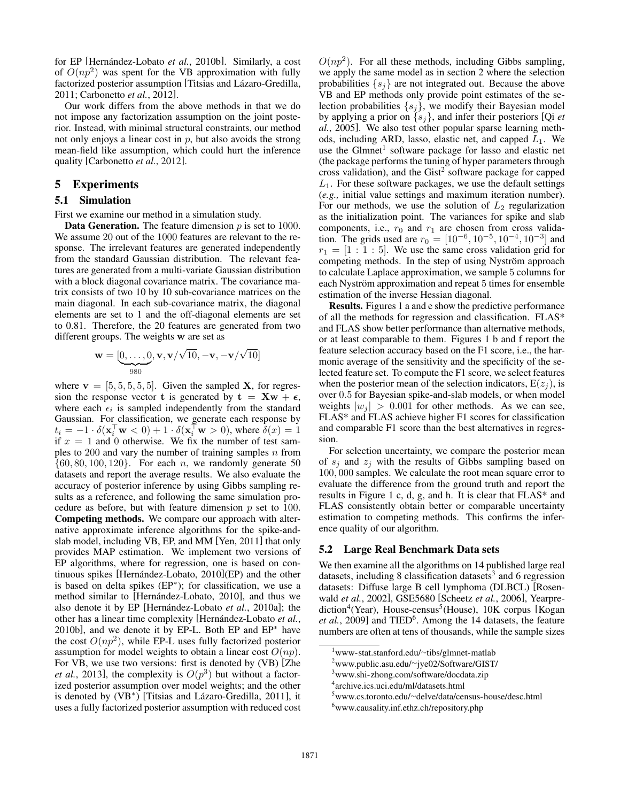for EP [Hernández-Lobato et al., 2010b]. Similarly, a cost of  $O(np^2)$  was spent for the VB approximation with fully factorized posterior assumption [Titsias and Lázaro-Gredilla, 2011; Carbonetto *et al.*, 2012].

Our work differs from the above methods in that we do not impose any factorization assumption on the joint posterior. Instead, with minimal structural constraints, our method not only enjoys a linear cost in *p*, but also avoids the strong mean-field like assumption, which could hurt the inference quality [Carbonetto *et al.*, 2012].

### 5 Experiments

### 5.1 Simulation

First we examine our method in a simulation study.

Data Generation. The feature dimension *p* is set to 1000. We assume 20 out of the 1000 features are relevant to the response. The irrelevant features are generated independently from the standard Gaussian distribution. The relevant features are generated from a multi-variate Gaussian distribution with a block diagonal covariance matrix. The covariance matrix consists of two 10 by 10 sub-covariance matrices on the main diagonal. In each sub-covariance matrix, the diagonal elements are set to 1 and the off-diagonal elements are set to 0.81. Therefore, the 20 features are generated from two different groups. The weights w are set as

$$
\mathbf{w} = [\underbrace{0,\ldots,0}_{980},\mathbf{v},\mathbf{v}/\sqrt{10},-\mathbf{v},-\mathbf{v}/\sqrt{10}]
$$

where  $v = [5, 5, 5, 5, 5]$ . Given the sampled **X**, for regression the response vector t is generated by  $t = Xw + \epsilon$ , where each  $\epsilon_i$  is sampled independently from the standard Gaussian. For classification, we generate each response by  $t_i = -1 \cdot \delta(\mathbf{x}_i \ \mathbf{w} < 0) + 1 \cdot \delta(\mathbf{x}_i \ \mathbf{w} > 0)$ , where  $\delta(x) = 1$ if  $x = 1$  and 0 otherwise. We fix the number of test samples to 200 and vary the number of training samples *n* from *{*60*,* 80*,* 100*,* 120*}*. For each *n*, we randomly generate 50 datasets and report the average results. We also evaluate the accuracy of posterior inference by using Gibbs sampling results as a reference, and following the same simulation procedure as before, but with feature dimension *p* set to 100. Competing methods. We compare our approach with alternative approximate inference algorithms for the spike-andslab model, including VB, EP, and MM [Yen, 2011] that only provides MAP estimation. We implement two versions of EP algorithms, where for regression, one is based on continuous spikes [Hernández-Lobato,  $2010$ ](EP) and the other is based on delta spikes  $(EP<sup>*</sup>)$ ; for classification, we use a method similar to [Hernández-Lobato, 2010], and thus we also denote it by EP [Hernández-Lobato et al., 2010a]; the other has a linear time complexity [Hernández-Lobato *et al.*, 2010b], and we denote it by EP-L. Both EP and  $EP^*$  have the cost  $O(np^2)$ , while EP-L uses fully factorized posterior assumption for model weights to obtain a linear cost  $O(np)$ . For VB, we use two versions: first is denoted by (VB) [Zhe *et al.*, 2013], the complexity is  $O(p^3)$  but without a factorized posterior assumption over model weights; and the other is denoted by  $(VB*)$  [Titsias and Lázaro-Gredilla, 2011], it uses a fully factorized posterior assumption with reduced cost

 $O(np^2)$ . For all these methods, including Gibbs sampling, we apply the same model as in section 2 where the selection probabilities  $\{s_i\}$  are not integrated out. Because the above VB and EP methods only provide point estimates of the selection probabilities *{sj}*, we modify their Bayesian model by applying a prior on *{sj}*, and infer their posteriors [Qi *et al.*, 2005]. We also test other popular sparse learning methods, including ARD, lasso, elastic net, and capped *L*1. We use the Glmnet<sup>1</sup> software package for lasso and elastic net (the package performs the tuning of hyper parameters through cross validation), and the  $\text{Gist}^2$  software package for capped *L*1. For these software packages, we use the default settings (*e.g.,* initial value settings and maximum iteration number). For our methods, we use the solution of  $L_2$  regularization as the initialization point. The variances for spike and slab components, i.e.,  $r_0$  and  $r_1$  are chosen from cross validation. The grids used are  $r_0 = [10^{-6}, 10^{-5}, 10^{-4}, 10^{-3}]$  and  $r_1 = [1 : 1 : 5]$ . We use the same cross validation grid for competing methods. In the step of using Nyström approach to calculate Laplace approximation, we sample 5 columns for each Nyström approximation and repeat 5 times for ensemble estimation of the inverse Hessian diagonal.

Results. Figures 1 a and e show the predictive performance of all the methods for regression and classification. FLAS\* and FLAS show better performance than alternative methods, or at least comparable to them. Figures 1 b and f report the feature selection accuracy based on the F1 score, i.e., the harmonic average of the sensitivity and the specificity of the selected feature set. To compute the F1 score, we select features when the posterior mean of the selection indicators,  $E(z_i)$ , is over 0*.*5 for Bayesian spike-and-slab models, or when model weights  $|w_i| > 0.001$  for other methods. As we can see, FLAS\* and FLAS achieve higher F1 scores for classification and comparable F1 score than the best alternatives in regression.

For selection uncertainty, we compare the posterior mean of *s<sup>j</sup>* and *z<sup>j</sup>* with the results of Gibbs sampling based on 100*,* 000 samples. We calculate the root mean square error to evaluate the difference from the ground truth and report the results in Figure 1 c, d, g, and h. It is clear that FLAS\* and FLAS consistently obtain better or comparable uncertainty estimation to competing methods. This confirms the inference quality of our algorithm.

#### 5.2 Large Real Benchmark Data sets

We then examine all the algorithms on 14 published large real datasets, including 8 classification datasets<sup>3</sup> and 6 regression datasets: Diffuse large B cell lymphoma (DLBCL) [Rosenwald *et al.*, 2002], GSE5680 [Scheetz *et al.*, 2006], Yearpre- $\text{diction}^4$ (Year), House-census<sup>5</sup>(House), 10K corpus [Kogan] *et al.*, 2009] and TIED<sup>6</sup>. Among the 14 datasets, the feature numbers are often at tens of thousands, while the sample sizes

<sup>&</sup>lt;sup>1</sup>www-stat.stanford.edu/∼tibs/glmnet-matlab

<sup>&</sup>lt;sup>2</sup>www.public.asu.edu/∼jye02/Software/GIST/

<sup>3</sup> www.shi-zhong.com/software/docdata.zip

<sup>4</sup> archive.ics.uci.edu/ml/datasets.html

<sup>5</sup>www.cs.toronto.edu/~delve/data/census-house/desc.html

<sup>6</sup> www.causality.inf.ethz.ch/repository.php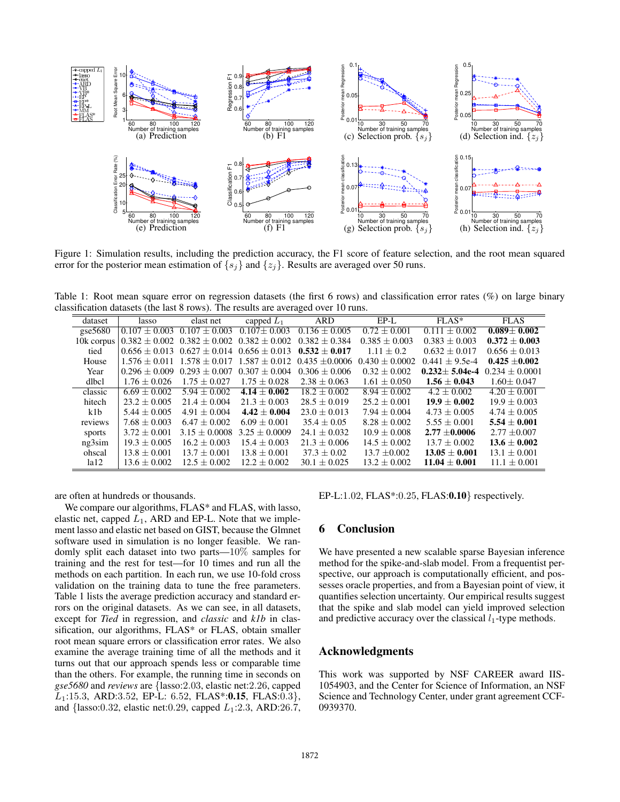

Figure 1: Simulation results, including the prediction accuracy, the F1 score of feature selection, and the root mean squared error for the posterior mean estimation of  $\{s_j\}$  and  $\{z_j\}$ . Results are averaged over 50 runs.

Table 1: Root mean square error on regression datasets (the first 6 rows) and classification error rates (%) on large binary classification datasets (the last 8 rows). The results are averaged over 10 runs.

| dataset    | lasso             | elast net                                             | capped $L_1$      | <b>ARD</b>                  | $EP-I$             | $FLAS*$           | <b>FLAS</b>       |
|------------|-------------------|-------------------------------------------------------|-------------------|-----------------------------|--------------------|-------------------|-------------------|
| gse $5680$ | $0.107 \pm 0.003$ | $0.107 \pm 0.003$                                     | $0.107 \pm 0.003$ | $0.136 \pm 0.005$           | $0.72 + 0.001$     | $0.111 \pm 0.002$ | $0.089 + 0.002$   |
| 10k corpus |                   | $0.382 \pm 0.002$ $0.382 \pm 0.002$ $0.382 \pm 0.002$ |                   | $0.382 + 0.384$             | $0.385 \pm 0.003$  | $0.383 \pm 0.003$ | $0.372 \pm 0.003$ |
| tied       |                   | $0.656 \pm 0.013$ $0.627 \pm 0.014$ $0.656 \pm 0.013$ |                   | $0.532 + 0.017$             | $1.11 + 0.2$       | $0.632 + 0.017$   | $0.656 + 0.013$   |
| House      | $1.576 + 0.011$   | $1.578 \pm 0.017$                                     | $1.587 + 0.012$   | $0.435 + 0.0006$            | $0.430 \pm 0.0002$ | $0.441 + 9.5e-4$  | $0.425 + 0.002$   |
| Year       | $0.296 + 0.009$   | $0.293 + 0.007$                                       | $0.307 + 0.004$   | $0.306 + 0.006$             | $0.32 \pm 0.002$   | $0.232 + 5.04e-4$ | $0.234 + 0.0001$  |
| dlbcl      | $1.76 + 0.026$    | $1.75 + 0.027$                                        | $1.75 + 0.028$    | $2.38 + 0.063$              | $1.61 + 0.050$     | $1.56 + 0.043$    | $1.60 + 0.047$    |
| classic    | $6.69 + 0.002$    | $5.94 + 0.002$                                        | $4.14 \pm 0.002$  | $\overline{18.2} \pm 0.002$ | $8.94 + 0.002$     | $4.2 + 0.002$     | $4.20 + 0.001$    |
| hitech     | $23.2 + 0.005$    | $21.4 + 0.004$                                        | $21.3 + 0.003$    | $28.5 + 0.019$              | $25.2 + 0.001$     | $19.9 + 0.002$    | $19.9 + 0.003$    |
| k1b        | $5.44 + 0.005$    | $4.91 + 0.004$                                        | $4.42 \pm 0.004$  | $23.0 + 0.013$              | $7.94 + 0.004$     | $4.73 + 0.005$    | $4.74 + 0.005$    |
| reviews    | $7.68 + 0.003$    | $6.47 + 0.002$                                        | $6.09 + 0.001$    | $35.4 + 0.05$               | $8.28 + 0.002$     | $5.55 \pm 0.001$  | $5.54 + 0.001$    |
| sports     | $3.72 + 0.001$    | $3.15 + 0.0008$                                       | $3.25 + 0.0009$   | $24.1 + 0.032$              | $10.9 + 0.008$     | $2.77 + 0.0006$   | $2.77 + 0.007$    |
| ng3sim     | $19.3 + 0.005$    | $16.2 + 0.003$                                        | $15.4 \pm 0.003$  | $21.3 + 0.006$              | $14.5 + 0.002$     | $13.7 + 0.002$    | $13.6 \pm 0.002$  |
| ohscal     | $13.8 + 0.001$    | $13.7 + 0.001$                                        | $13.8 + 0.001$    | $37.3 + 0.02$               | $13.7 + 0.002$     | $13.05 + 0.001$   | $13.1 + 0.001$    |
| 1a12       | $13.6 + 0.002$    | $12.5 + 0.002$                                        | $12.2 + 0.002$    | $30.1 + 0.025$              | $13.2 + 0.002$     | $11.04 \pm 0.001$ | $11.1 \pm 0.001$  |

are often at hundreds or thousands.

We compare our algorithms, FLAS\* and FLAS, with lasso, elastic net, capped *L*1, ARD and EP-L. Note that we implement lasso and elastic net based on GIST, because the Glmnet software used in simulation is no longer feasible. We randomly split each dataset into two parts—10% samples for training and the rest for test—for 10 times and run all the methods on each partition. In each run, we use 10-fold cross validation on the training data to tune the free parameters. Table 1 lists the average prediction accuracy and standard errors on the original datasets. As we can see, in all datasets, except for *Tied* in regression, and *classic* and *k1b* in classification, our algorithms, FLAS\* or FLAS, obtain smaller root mean square errors or classification error rates. We also examine the average training time of all the methods and it turns out that our approach spends less or comparable time than the others. For example, the running time in seconds on *gse5680* and *reviews* are *{*lasso:2*.*03, elastic net:2*.*26, capped *L*1:15*.*3, ARD:3*.*52, EP-L: 6*.*52, FLAS\*:0.15, FLAS:0*.*3*}*, and *{*lasso:0*.*32, elastic net:0*.*29, capped *L*1:2*.*3, ARD:26*.*7, EP-L:1*.*02, FLAS\*:0*.*25, FLAS:0.10*}* respectively.

# 6 Conclusion

We have presented a new scalable sparse Bayesian inference method for the spike-and-slab model. From a frequentist perspective, our approach is computationally efficient, and possesses oracle properties, and from a Bayesian point of view, it quantifies selection uncertainty. Our empirical results suggest that the spike and slab model can yield improved selection and predictive accuracy over the classical  $l_1$ -type methods.

### Acknowledgments

This work was supported by NSF CAREER award IIS-1054903, and the Center for Science of Information, an NSF Science and Technology Center, under grant agreement CCF-0939370.